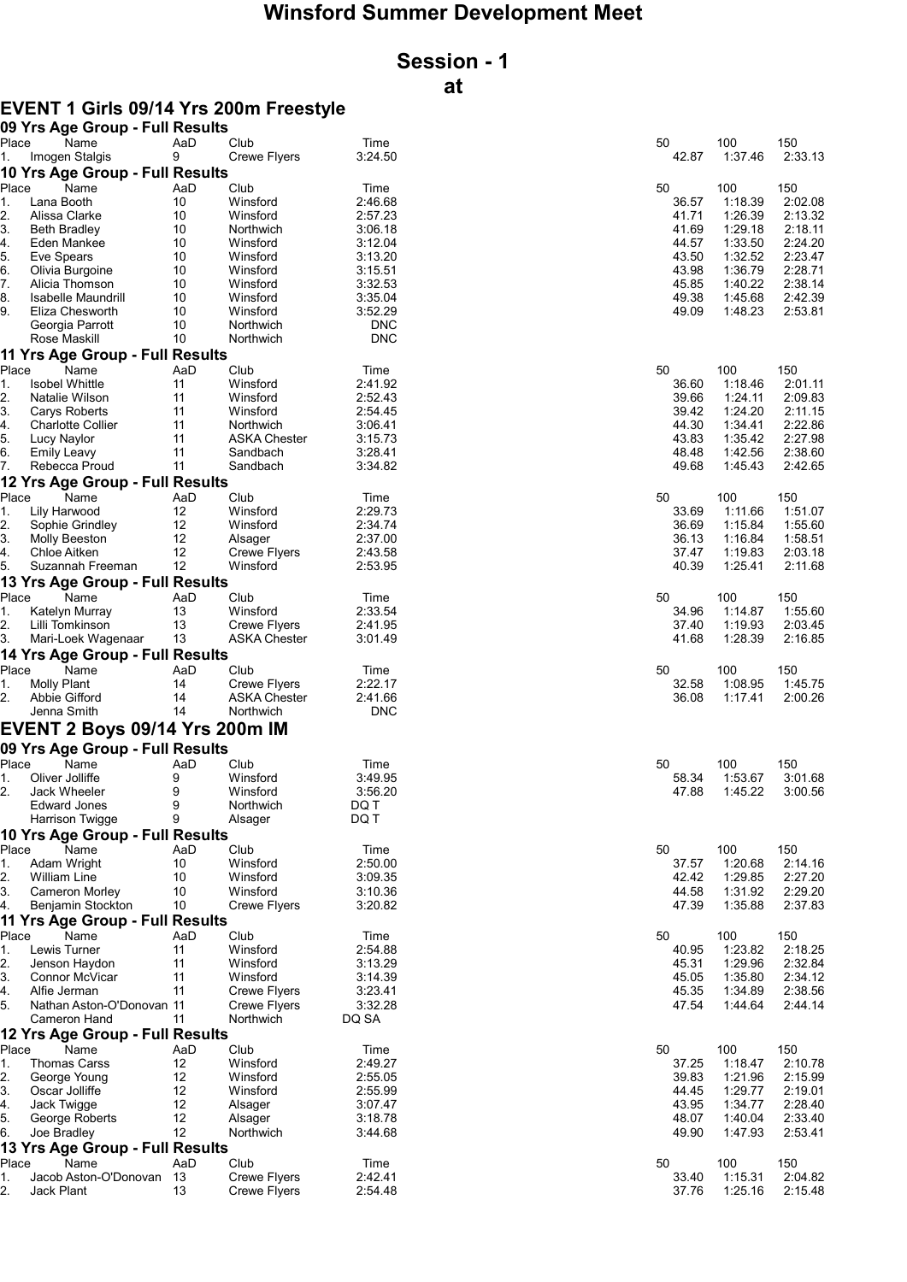# Winsford Summer Development Meet

# Session - 1 at

## EVENT 1 Girls 09/14 Yrs 200m Freestyle

|          | 09 Yrs Age Group - Full Results   |          |                      |                    |                |                    |                    |
|----------|-----------------------------------|----------|----------------------|--------------------|----------------|--------------------|--------------------|
| Place    | Name                              | AaD      | Club                 | Time               | 50             | 100                | 150                |
| 1.       | Imogen Stalgis                    | 9        | <b>Crewe Flyers</b>  | 3:24.50            | 42.87          | 1:37.46            | 2:33.13            |
|          | 10 Yrs Age Group - Full Results   |          |                      |                    |                |                    |                    |
| Place    | Name                              | AaD      | Club                 | Time               | 50             | 100                | 150                |
| 1.       | Lana Booth                        | 10       | Winsford             | 2:46.68            | 36.57          | 1:18.39            | 2:02.08            |
| 2.       | Alissa Clarke                     | 10       | Winsford             | 2:57.23            | 41.71          | 1:26.39            | 2:13.32            |
| 3.       | <b>Beth Bradley</b>               | 10       | Northwich            | 3:06.18            | 41.69          | 1:29.18            | 2:18.11            |
| 4.       | Eden Mankee                       | 10       | Winsford             | 3:12.04            | 44.57          | 1:33.50            | 2:24.20            |
| 5.<br>6. | Eve Spears                        | 10       | Winsford             | 3:13.20            | 43.50<br>43.98 | 1:32.52<br>1:36.79 | 2:23.47<br>2:28.71 |
| 7.       | Olivia Burgoine<br>Alicia Thomson | 10<br>10 | Winsford<br>Winsford | 3:15.51<br>3:32.53 | 45.85          | 1:40.22            | 2:38.14            |
| 8.       | Isabelle Maundrill                | 10       | Winsford             | 3:35.04            | 49.38          | 1:45.68            | 2:42.39            |
| 9.       | Eliza Chesworth                   | 10       | Winsford             | 3:52.29            | 49.09          | 1:48.23            | 2:53.81            |
|          | Georgia Parrott                   | 10       | Northwich            | <b>DNC</b>         |                |                    |                    |
|          | Rose Maskill                      | 10       | Northwich            | <b>DNC</b>         |                |                    |                    |
|          | 11 Yrs Age Group - Full Results   |          |                      |                    |                |                    |                    |
| Place    | Name                              | AaD      | Club                 | Time               | 50             | 100                | 150                |
| 1.       | <b>Isobel Whittle</b>             | 11       | Winsford             | 2:41.92            | 36.60          | 1:18.46            | 2:01.11            |
| 2.       | Natalie Wilson                    | 11       | Winsford             | 2:52.43            | 39.66          | 1:24.11            | 2:09.83            |
| 3.       | Carys Roberts                     | 11       | Winsford             | 2:54.45            | 39.42          | 1:24.20            | 2:11.15            |
| 4.       | <b>Charlotte Collier</b>          | 11       | Northwich            | 3:06.41            | 44.30          | 1:34.41            | 2:22.86            |
| 5.       | Lucy Naylor                       | 11       | <b>ASKA Chester</b>  | 3:15.73            | 43.83          | 1:35.42            | 2:27.98            |
| 6.       | <b>Emily Leavy</b>                | 11       | Sandbach             | 3:28.41            | 48.48          | 1:42.56            | 2:38.60            |
| 7.       | Rebecca Proud                     | 11       | Sandbach             | 3:34.82            | 49.68          | 1:45.43            | 2:42.65            |
|          | 12 Yrs Age Group - Full Results   |          |                      |                    |                |                    |                    |
| Place    | Name                              | AaD      | Club                 | Time               | 50             | 100                | 150                |
| 1.       | Lily Harwood                      | 12       | Winsford             | 2:29.73            | 33.69          | 1:11.66            | 1:51.07            |
| 2.       | Sophie Grindley                   | 12       | Winsford             | 2:34.74            | 36.69          | 1:15.84            | 1:55.60            |
| 3.       | Molly Beeston                     | 12       | Alsager              | 2:37.00            | 36.13          | 1:16.84            | 1:58.51            |
| 4.       | Chloe Aitken                      | 12       | <b>Crewe Flyers</b>  | 2:43.58            | 37.47          | 1:19.83            | 2:03.18            |
| 5.       | Suzannah Freeman                  | 12       | Winsford             | 2:53.95            | 40.39          | 1:25.41            | 2:11.68            |
|          | 13 Yrs Age Group - Full Results   |          |                      |                    |                |                    |                    |
| Place    | Name                              | AaD      | Club                 | Time               | 50             | 100                | 150                |
| 1.       | Katelyn Murray                    | 13       | Winsford             | 2:33.54            | 34.96          | 1:14.87            | 1:55.60            |
| 2.       | Lilli Tomkinson                   | 13       | Crewe Flyers         | 2:41.95            | 37.40          | 1:19.93            | 2:03.45            |
| 3.       | Mari-Loek Wagenaar                | 13       | <b>ASKA Chester</b>  | 3:01.49            | 41.68          | 1:28.39            | 2:16.85            |
|          | 14 Yrs Age Group - Full Results   |          |                      |                    |                |                    |                    |
| Place    | Name                              | AaD      | Club                 | Time               | 50             | 100                | 150                |
| 1.       | <b>Molly Plant</b>                | 14       | <b>Crewe Flyers</b>  | 2:22.17            | 32.58          | 1:08.95            | 1:45.75            |
| 2.       | Abbie Gifford                     | 14       | <b>ASKA Chester</b>  | 2:41.66            | 36.08          | 1:17.41            | 2:00.26            |
|          | Jenna Smith                       | 14       | Northwich            | <b>DNC</b>         |                |                    |                    |
|          | EVENT 2 Boys 09/14 Yrs 200m IM    |          |                      |                    |                |                    |                    |
|          | 09 Yrs Age Group - Full Results   |          |                      |                    |                |                    |                    |
| Place    |                                   |          |                      |                    |                |                    |                    |
| 1.       | Name<br>Oliver Jolliffe           | AaD<br>9 | Club<br>Winsford     | Time<br>3:49.95    | 50<br>58.34    | 100<br>1:53.67     | 150<br>3:01.68     |
| 2.       | Jack Wheeler                      | 9        | Winsford             | 3:56.20            | 47.88          | 1:45.22            | 3:00.56            |
|          | <b>Edward Jones</b>               | 9        | Northwich            | DQ T               |                |                    |                    |
|          | <b>Harrison Twigge</b>            | 9        | Alsager              | DQ T               |                |                    |                    |
|          | 10 Yrs Age Group - Full Results   |          |                      |                    |                |                    |                    |
| Place    | Name                              | AaD      | Club                 | Time               | 50             | 100                | 150                |
| 1.       | Adam Wright                       | 10       | Winsford             | 2:50.00            | 37.57          | 1:20.68            | 2:14.16            |
| 2.       | William Line                      | 10       | Winsford             | 3:09.35            | 42.42          | 1:29.85            | 2:27.20            |
| 3.       | <b>Cameron Morley</b>             | 10       | Winsford             | 3:10.36            | 44.58          | 1:31.92            | 2:29.20            |
| 4.       | Benjamin Stockton                 | 10       | <b>Crewe Flyers</b>  | 3:20.82            | 47.39          | 1:35.88            | 2:37.83            |
|          | 11 Yrs Age Group - Full Results   |          |                      |                    |                |                    |                    |
| Place    | Name                              | AaD      | Club                 | Time               | 50             | 100                | 150                |
| 1.       | Lewis Turner                      | 11       | Winsford             | 2:54.88            | 40.95          | 1:23.82            | 2:18.25            |
| 2.       | Jenson Haydon                     | 11       | Winsford             | 3:13.29            | 45.31          | 1:29.96            | 2:32.84            |
| 3.       | Connor McVicar                    | 11       | Winsford             | 3:14.39            | 45.05          | 1:35.80            | 2:34.12            |
| 4.       | Alfie Jerman                      | 11       | <b>Crewe Flyers</b>  | 3:23.41            | 45.35          | 1:34.89            | 2:38.56            |
| 5.       | Nathan Aston-O'Donovan 11         |          | <b>Crewe Flyers</b>  | 3:32.28            | 47.54          | 1:44.64            | 2:44.14            |
|          | Cameron Hand                      | 11       | Northwich            | DQ SA              |                |                    |                    |
|          | 12 Yrs Age Group - Full Results   |          |                      |                    |                |                    |                    |
| Place    | Name                              | AaD      | Club                 | Time               | 50             | 100                | 150                |
| 1.       | <b>Thomas Carss</b>               | 12       | Winsford             | 2:49.27            | 37.25          | 1:18.47            | 2:10.78            |
| 2.       | George Young                      | 12       | Winsford             | 2:55.05            | 39.83          | 1:21.96            | 2:15.99            |
| 3.       | Oscar Jolliffe                    | 12       | Winsford             | 2:55.99            | 44.45          | 1:29.77            | 2:19.01            |
| 4.       | Jack Twigge                       | 12       | Alsager              | 3:07.47            | 43.95          | 1:34.77            | 2:28.40            |
| 5.       | George Roberts                    | 12       | Alsager              | 3:18.78            | 48.07          | 1:40.04            | 2:33.40            |
| 6.       | Joe Bradley                       | 12       | Northwich            | 3:44.68            | 49.90          | 1:47.93            | 2:53.41            |
|          | 13 Yrs Age Group - Full Results   |          |                      |                    |                |                    |                    |
| Place    | Name                              | AaD      | Club                 | Time               | 50             | 100                | 150                |
| 1.       | Jacob Aston-O'Donovan 13          |          | <b>Crewe Flyers</b>  | 2:42.41            | 33.40          | 1:15.31            | 2:04.82            |
| 2.       | Jack Plant                        | 13       | <b>Crewe Flyers</b>  | 2:54.48            | 37.76          | 1:25.16            | 2:15.48            |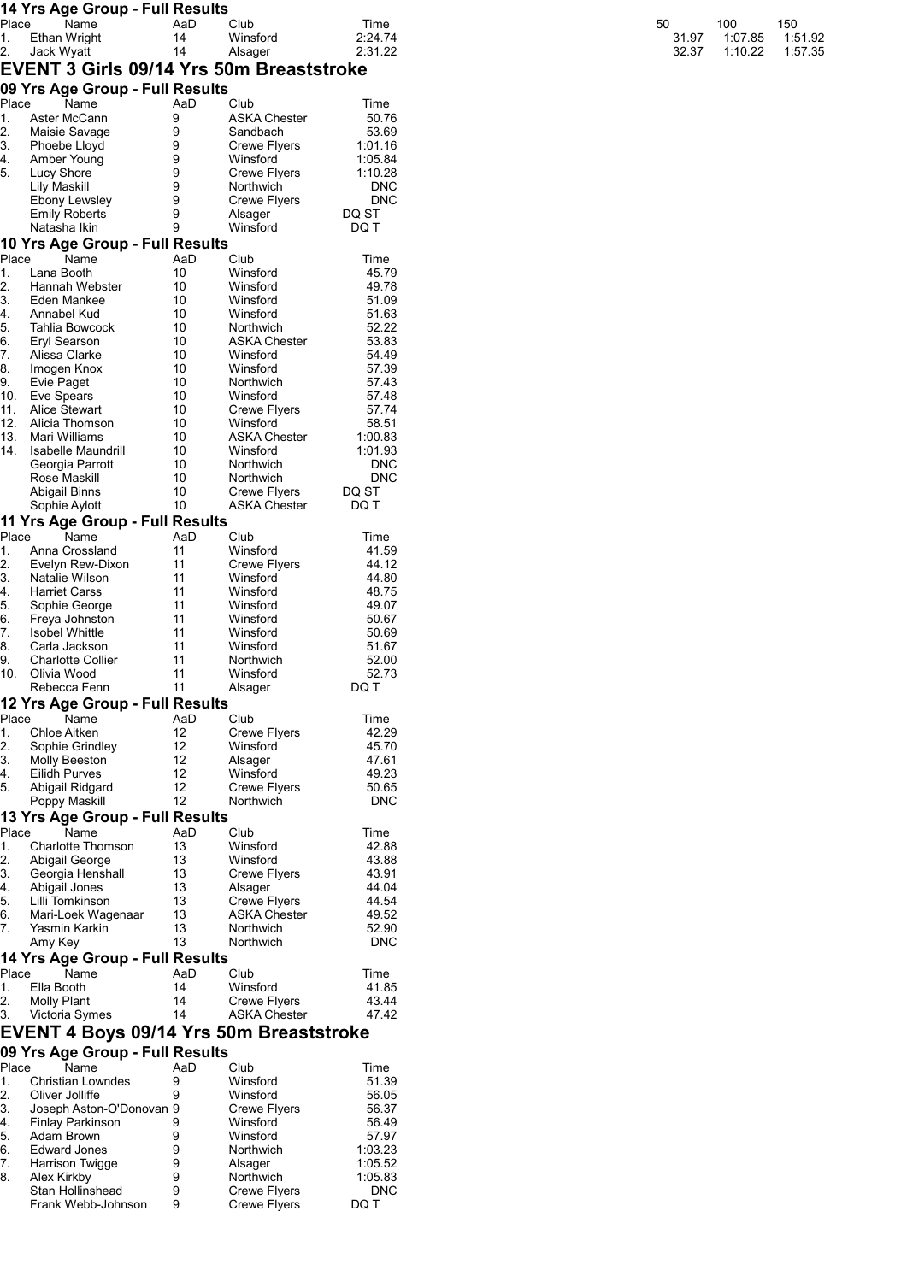|             |                    | 14 Yrs Age Group - Full Results          |           |                                 |                     |       |         |         |
|-------------|--------------------|------------------------------------------|-----------|---------------------------------|---------------------|-------|---------|---------|
| Place       |                    | Name                                     | AaD       | Club                            | Time                | 50    | 100     | 150     |
| 1.          |                    | Ethan Wright                             | 14        | Winsford                        | 2:24.74             | 31.97 | 1:07.85 | 1:51.92 |
| 2.          | Jack Wyatt         | EVENT 3 Girls 09/14 Yrs 50m Breaststroke | 14        | Alsager                         | 2:31.22             | 32.37 | 1:10.22 | 1:57.35 |
|             |                    | 09 Yrs Age Group - Full Results          |           |                                 |                     |       |         |         |
| Place       |                    | Name                                     | AaD       | Club                            | Time                |       |         |         |
| 1.          |                    | Aster McCann                             | 9         | <b>ASKA Chester</b>             | 50.76               |       |         |         |
| 2.          |                    | Maisie Savage                            | 9         | Sandbach                        | 53.69               |       |         |         |
| 3.          |                    | Phoebe Lloyd<br>Amber Young              | 9<br>9    | Crewe Flyers<br>Winsford        | 1:01.16<br>1:05.84  |       |         |         |
| 4.<br>5.    | Lucy Shore         |                                          | 9         | Crewe Flyers                    | 1:10.28             |       |         |         |
|             | Lily Maskill       |                                          | 9         | Northwich                       | <b>DNC</b>          |       |         |         |
|             |                    | Ebony Lewsley                            | 9         | Crewe Flyers                    | <b>DNC</b>          |       |         |         |
|             |                    | <b>Emily Roberts</b>                     | 9         | Alsager                         | DQ ST               |       |         |         |
|             | Natasha Ikin       |                                          | 9         | Winsford                        | DQ T                |       |         |         |
| Place       |                    | 10 Yrs Age Group - Full Results<br>Name  | AaD       | Club                            | Time                |       |         |         |
| 1.          | Lana Booth         |                                          | 10        | Winsford                        | 45.79               |       |         |         |
| 2.          |                    | Hannah Webster                           | 10        | Winsford                        | 49.78               |       |         |         |
| 3.          |                    | Eden Mankee                              | 10        | Winsford                        | 51.09               |       |         |         |
| 4.          | Annabel Kud        |                                          | 10        | Winsford                        | 51.63               |       |         |         |
| 5.          |                    | Tahlia Bowcock                           | 10<br>10  | Northwich<br>ASKA Chester       | 52.22<br>53.83      |       |         |         |
| 6.<br>7.    | Eryl Searson       | Alissa Clarke                            | 10        | Winsford                        | 54.49               |       |         |         |
| 8.          |                    | Imogen Knox                              | 10        | Winsford                        | 57.39               |       |         |         |
| 9.          | Evie Paget         |                                          | 10        | Northwich                       | 57.43               |       |         |         |
| 10.         | Eve Spears         |                                          | 10        | Winsford                        | 57.48               |       |         |         |
| 11.         |                    | <b>Alice Stewart</b>                     | 10        | Crewe Flyers                    | 57.74               |       |         |         |
| 12.<br>13.  |                    | Alicia Thomson<br>Mari Williams          | 10<br>10  | Winsford<br><b>ASKA Chester</b> | 58.51<br>1:00.83    |       |         |         |
| 14.         |                    | Isabelle Maundrill                       | 10        | Winsford                        | 1:01.93             |       |         |         |
|             |                    | Georgia Parrott                          | 10        | Northwich                       | <b>DNC</b>          |       |         |         |
|             | Rose Maskill       |                                          | 10        | Northwich                       | <b>DNC</b>          |       |         |         |
|             | Abigail Binns      |                                          | 10        | Crewe Flyers                    | DQ ST               |       |         |         |
|             |                    | Sophie Aylott                            | 10        | <b>ASKA Chester</b>             | DQ T                |       |         |         |
| Place       |                    | 11 Yrs Age Group - Full Results<br>Name  | AaD       | Club                            |                     |       |         |         |
| 1.          |                    | Anna Crossland                           | 11        | Winsford                        | Time<br>41.59       |       |         |         |
| 2.          |                    | Evelyn Rew-Dixon                         | 11        | <b>Crewe Flyers</b>             | 44.12               |       |         |         |
| 3.          |                    | Natalie Wilson                           | 11        | Winsford                        | 44.80               |       |         |         |
| 4.          |                    | <b>Harriet Carss</b>                     | 11        | Winsford                        | 48.75               |       |         |         |
| 5.          |                    | Sophie George                            | 11        | Winsford                        | 49.07               |       |         |         |
| 6.<br>7.    |                    | Freya Johnston<br>Isobel Whittle         | 11<br>11  | Winsford<br>Winsford            | 50.67<br>50.69      |       |         |         |
| 8.          |                    | Carla Jackson                            | 11        | Winsford                        | 51.67               |       |         |         |
| 9.          |                    | <b>Charlotte Collier</b>                 | 11        | Northwich                       | 52.00               |       |         |         |
| 10.         | Olivia Wood        |                                          | 11        | Winsford                        | 52.73               |       |         |         |
|             |                    | Rebecca Fenn                             | 11        | Alsager                         | DQ T                |       |         |         |
|             |                    | 12 Yrs Age Group - Full Results          |           |                                 |                     |       |         |         |
| Place<br>1. | Chloe Aitken       | Name                                     | AaD<br>12 | Club<br><b>Crewe Flyers</b>     | Time<br>42.29       |       |         |         |
| 2.          |                    | Sophie Grindley                          | 12        | Winsford                        | 45.70               |       |         |         |
| 3.          |                    | Molly Beeston                            | 12        | Alsager                         | 47.61               |       |         |         |
| 4.          |                    | Eilidh Purves                            | 12        | Winsford                        | 49.23               |       |         |         |
| 5.          |                    | Abigail Ridgard                          | 12        | Crewe Flyers                    | 50.65               |       |         |         |
|             |                    | Poppy Maskill                            | 12        | Northwich                       | <b>DNC</b>          |       |         |         |
|             |                    | 13 Yrs Age Group - Full Results          |           |                                 |                     |       |         |         |
| Place<br>1. |                    | Name<br>Charlotte Thomson                | AaD<br>13 | Club<br>Winsford                | Time<br>42.88       |       |         |         |
| 2.          |                    | Abigail George                           | 13        | Winsford                        | 43.88               |       |         |         |
| 3.          |                    | Georgia Henshall                         | 13        | <b>Crewe Flyers</b>             | 43.91               |       |         |         |
| 4.          |                    | Abigail Jones                            | 13        | Alsager                         | 44.04               |       |         |         |
| 5.          |                    | Lilli Tomkinson                          | 13        | Crewe Flyers                    | 44.54               |       |         |         |
| 6.          |                    | Mari-Loek Wagenaar                       | 13        | <b>ASKA Chester</b>             | 49.52               |       |         |         |
| 7.          | Amy Key            | Yasmin Karkin                            | 13<br>13  | Northwich<br>Northwich          | 52.90<br><b>DNC</b> |       |         |         |
|             |                    | 14 Yrs Age Group - Full Results          |           |                                 |                     |       |         |         |
| Place       |                    | Name                                     | AaD       | Club                            | Time                |       |         |         |
| 1.          | Ella Booth         |                                          | 14        | Winsford                        | 41.85               |       |         |         |
| 2.          | <b>Molly Plant</b> |                                          | 14        | <b>Crewe Flyers</b>             | 43.44               |       |         |         |
| 3.          |                    | Victoria Symes                           | 14        | <b>ASKA Chester</b>             | 47.42               |       |         |         |
|             |                    | EVENT 4 Boys 09/14 Yrs 50m Breaststroke  |           |                                 |                     |       |         |         |
|             |                    | 09 Yrs Age Group - Full Results          |           |                                 |                     |       |         |         |
| Place       |                    | Name                                     | AaD       | Club                            | Time                |       |         |         |
| 1.          |                    | <b>Christian Lowndes</b>                 | 9         | Winsford                        | 51.39               |       |         |         |
| 2.<br>3.    | Oliver Jolliffe    | Joseph Aston-O'Donovan 9                 | 9         | Winsford<br>Crewe Flyers        | 56.05<br>56.37      |       |         |         |
| 4.          |                    | <b>Finlay Parkinson</b>                  | 9         | Winsford                        | 56.49               |       |         |         |
| 5.          | Adam Brown         |                                          | 9         | Winsford                        | 57.97               |       |         |         |
| 6.          |                    | <b>Edward Jones</b>                      | 9         | Northwich                       | 1:03.23             |       |         |         |
| 7.          |                    | <b>Harrison Twigge</b>                   | 9         | Alsager                         | 1:05.52             |       |         |         |
| 8.          | Alex Kirkby        |                                          | 9         | Northwich                       | 1:05.83             |       |         |         |

Stan Hollinshead 9 Crewe Flyers DNC Frank Webb-Johnson 9 Crewe Flyers DQ T

| 50    | 100     | 150     |
|-------|---------|---------|
| 31.97 | 1:07.85 | 1:51.92 |
| 32.37 | 1:10.22 | 1:57.35 |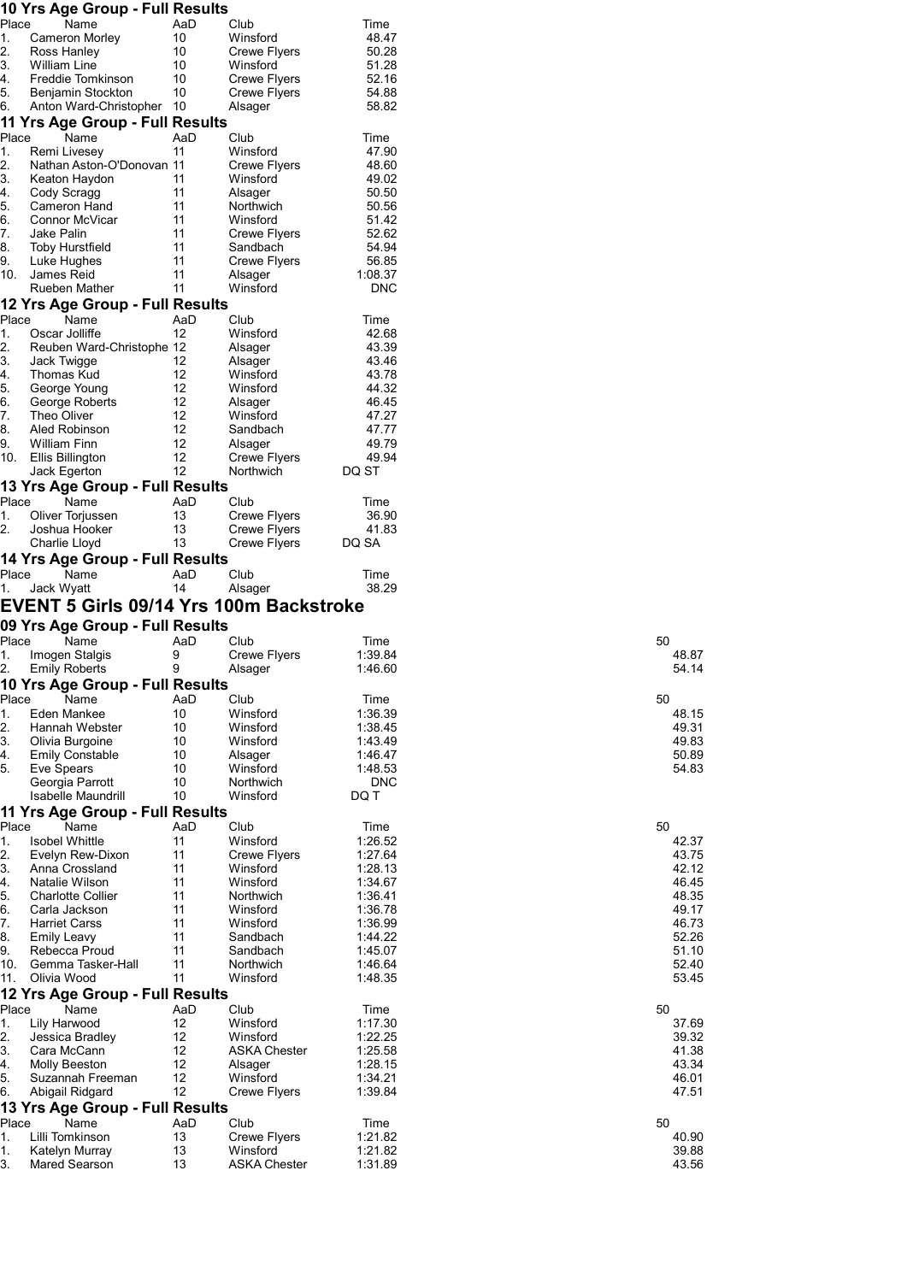### 10 Yrs Age Group - Full Results

| Place<br>1.<br>2.<br>3.<br>4.<br>5.<br>6.<br>Place | Name<br>Cameron Morley<br>Ross Hanley | AaD | Club                                    | Time       |
|----------------------------------------------------|---------------------------------------|-----|-----------------------------------------|------------|
|                                                    |                                       |     |                                         |            |
|                                                    |                                       | 10  | Winsford                                | 48.47      |
|                                                    |                                       | 10  | Crewe Flyers                            | 50.28      |
|                                                    | William Line                          | 10  | Winsford                                | 51.28      |
|                                                    | Freddie Tomkinson                     | 10  | Crewe Flyers                            | 52.16      |
|                                                    | Benjamin Stockton                     | 10  | Crewe Flyers                            | 54.88      |
|                                                    | Anton Ward-Christopher 10             |     | Alsager                                 | 58.82      |
|                                                    | 11 Yrs Age Group - Full Results       |     |                                         |            |
|                                                    |                                       |     |                                         |            |
|                                                    | Name                                  | AaD | Club                                    | Time       |
| 1.                                                 | Remi Livesey                          | 11  | Winsford                                | 47.90      |
| 2.                                                 | Nathan Aston-O'Donovan 11             |     | Crewe Flyers                            | 48.60      |
| 3.                                                 | Keaton Haydon                         | 11  | Winsford                                | 49.02      |
| 4.                                                 | Cody Scragg                           | 11  | Alsager                                 | 50.50      |
| 5.                                                 | Cameron Hand                          | 11  | Northwich                               | 50.56      |
|                                                    |                                       |     |                                         |            |
| 6.                                                 | Connor McVicar                        | 11  | Winsford                                | 51.42      |
| 7.                                                 | Jake Palin                            | 11  | Crewe Flyers                            | 52.62      |
| 8.                                                 | Toby Hurstfield                       | 11  | Sandbach                                | 54.94      |
| 9.                                                 | Luke Hughes                           | 11  | Crewe Flyers                            | 56.85      |
| 10.                                                | James Reid                            | 11  | Alsager                                 | 1:08.37    |
|                                                    | Rueben Mather                         |     |                                         | <b>DNC</b> |
|                                                    |                                       | 11  | Winsford                                |            |
|                                                    | 12 Yrs Age Group - Full Results       |     |                                         |            |
| Place                                              | Name                                  | AaD | Club                                    | Time       |
| 1.                                                 | Oscar Jolliffe                        | 12  | Winsford                                | 42.68      |
|                                                    |                                       |     |                                         |            |
| 2.                                                 | Reuben Ward-Christophe 12             |     | Alsager                                 | 43.39      |
| 3.                                                 | Jack Twigge                           | 12  | Alsager                                 | 43.46      |
| 4.                                                 | Thomas Kud                            | 12  | Winsford                                | 43.78      |
| 5.                                                 | George Young                          | 12  | Winsford                                | 44.32      |
| 6.                                                 | George Roberts                        | 12  | Alsager                                 | 46.45      |
| 7.                                                 | Theo Oliver                           | 12  | Winsford                                | 47.27      |
|                                                    |                                       |     |                                         |            |
| 8.                                                 | Aled Robinson                         | 12  | Sandbach                                | 47.77      |
| 9.                                                 | <b>William Finn</b>                   | 12  | Alsager                                 | 49.79      |
| 10.                                                | Ellis Billington                      | 12  | Crewe Flyers                            | 49.94      |
|                                                    | Jack Egerton                          | 12  | Northwich                               | DQ ST      |
|                                                    | 13 Yrs Age Group - Full Results       |     |                                         |            |
| Place                                              | Name                                  |     |                                         |            |
|                                                    |                                       | AaD | Club                                    | Time       |
| 1.                                                 | Oliver Torjussen                      | 13  | <b>Crewe Flyers</b>                     | 36.90      |
| 2.                                                 | Joshua Hooker                         | 13  | Crewe Flyers                            | 41.83      |
|                                                    | Charlie Lloyd                         | 13  | Crewe Flyers                            | DQ SA      |
|                                                    | 14 Yrs Age Group - Full Results       |     |                                         |            |
| Place                                              | Name                                  | AaD | Club                                    | Time       |
| 1.                                                 |                                       |     |                                         |            |
|                                                    | Jack Wyatt                            | 14  | Alsager                                 | 38.29      |
|                                                    |                                       |     | EVENT 5 Girls 09/14 Yrs 100m Backstroke |            |
|                                                    |                                       |     |                                         |            |
|                                                    |                                       |     |                                         |            |
|                                                    | 09 Yrs Age Group - Full Results       |     |                                         |            |
| Place                                              | Name                                  | AaD | Club                                    | Time       |
| 1.                                                 | Imogen Stalgis                        | 9   | <b>Crewe Flyers</b>                     | 1:39.84    |
|                                                    | <b>Emily Roberts</b>                  | 9   | Alsager                                 | 1:46.60    |
| 2.                                                 |                                       |     |                                         |            |
|                                                    | 10 Yrs Age Group - Full Results       |     |                                         |            |
| Place                                              | Name                                  | AaD | Club                                    | Time       |
|                                                    | Eden Mankee                           | 10  | Winsford                                | 1:36.39    |
|                                                    | Hannah Webster                        | 10  | Winsford                                | 1:38.45    |
|                                                    | Olivia Burgoine                       | 10  | Winsford                                | 1:43.49    |
|                                                    |                                       |     |                                         |            |
|                                                    | <b>Emily Constable</b>                | 10  | Alsager                                 | 1:46.47    |
|                                                    | Eve Spears                            | 10  | Winsford                                | 1:48.53    |
|                                                    | Georgia Parrott                       | 10  | Northwich                               | <b>DNC</b> |
|                                                    | <b>Isabelle Maundrill</b>             | 10  | Winsford                                | DQ T       |
| 1.<br>2.<br>3.<br>4.<br>5.                         |                                       |     |                                         |            |
|                                                    | 11 Yrs Age Group - Full Results       |     |                                         |            |
| Place                                              | Name                                  | AaD | Club                                    | Time       |
| 1.                                                 | <b>Isobel Whittle</b>                 | 11  | Winsford                                | 1:26.52    |
| 2.                                                 | Evelyn Rew-Dixon                      | 11  | <b>Crewe Flyers</b>                     | 1:27.64    |
| 3.                                                 | Anna Crossland                        | 11  | Winsford                                | 1:28.13    |
| 4.                                                 | Natalie Wilson                        | 11  | Winsford                                | 1:34.67    |
| 5.                                                 | <b>Charlotte Collier</b>              | 11  | Northwich                               | 1:36.41    |
|                                                    |                                       |     |                                         |            |
| 6.                                                 | Carla Jackson                         | 11  | Winsford                                | 1:36.78    |
|                                                    | <b>Harriet Carss</b>                  | 11  | Winsford                                | 1:36.99    |
|                                                    | <b>Emily Leavy</b>                    | 11  | Sandbach                                | 1:44.22    |
|                                                    | Rebecca Proud                         | 11  | Sandbach                                | 1:45.07    |
|                                                    | Gemma Tasker-Hall                     | 11  | Northwich                               | 1:46.64    |
|                                                    |                                       |     | Winsford                                |            |
| 7.<br>8.<br>9.<br>10.<br>11.                       | Olivia Wood                           | 11  |                                         | 1:48.35    |
|                                                    | 12 Yrs Age Group - Full Results       |     |                                         |            |
| Place                                              | Name                                  | AaD | Club                                    | Time       |
| 1.                                                 | Lily Harwood                          | 12  | Winsford                                | 1:17.30    |
|                                                    |                                       |     |                                         |            |
| 2.                                                 | Jessica Bradley                       | 12  | Winsford                                | 1:22.25    |
| 3.                                                 | Cara McCann                           | 12  | <b>ASKA Chester</b>                     | 1:25.58    |
| 4.                                                 | Molly Beeston                         | 12  | Alsager                                 | 1:28.15    |
|                                                    | Suzannah Freeman                      | 12  | Winsford                                | 1:34.21    |
|                                                    | Abigail Ridgard                       | 12  | <b>Crewe Flyers</b>                     | 1:39.84    |
| 5.<br>6.                                           |                                       |     |                                         |            |
|                                                    | 13 Yrs Age Group - Full Results       |     |                                         |            |
| Place                                              | Name                                  | AaD | Club                                    | Time       |
| 1.                                                 | Lilli Tomkinson                       | 13  | <b>Crewe Flyers</b>                     | 1:21.82    |
| 1.                                                 | Katelyn Murray                        | 13  | Winsford                                | 1:21.82    |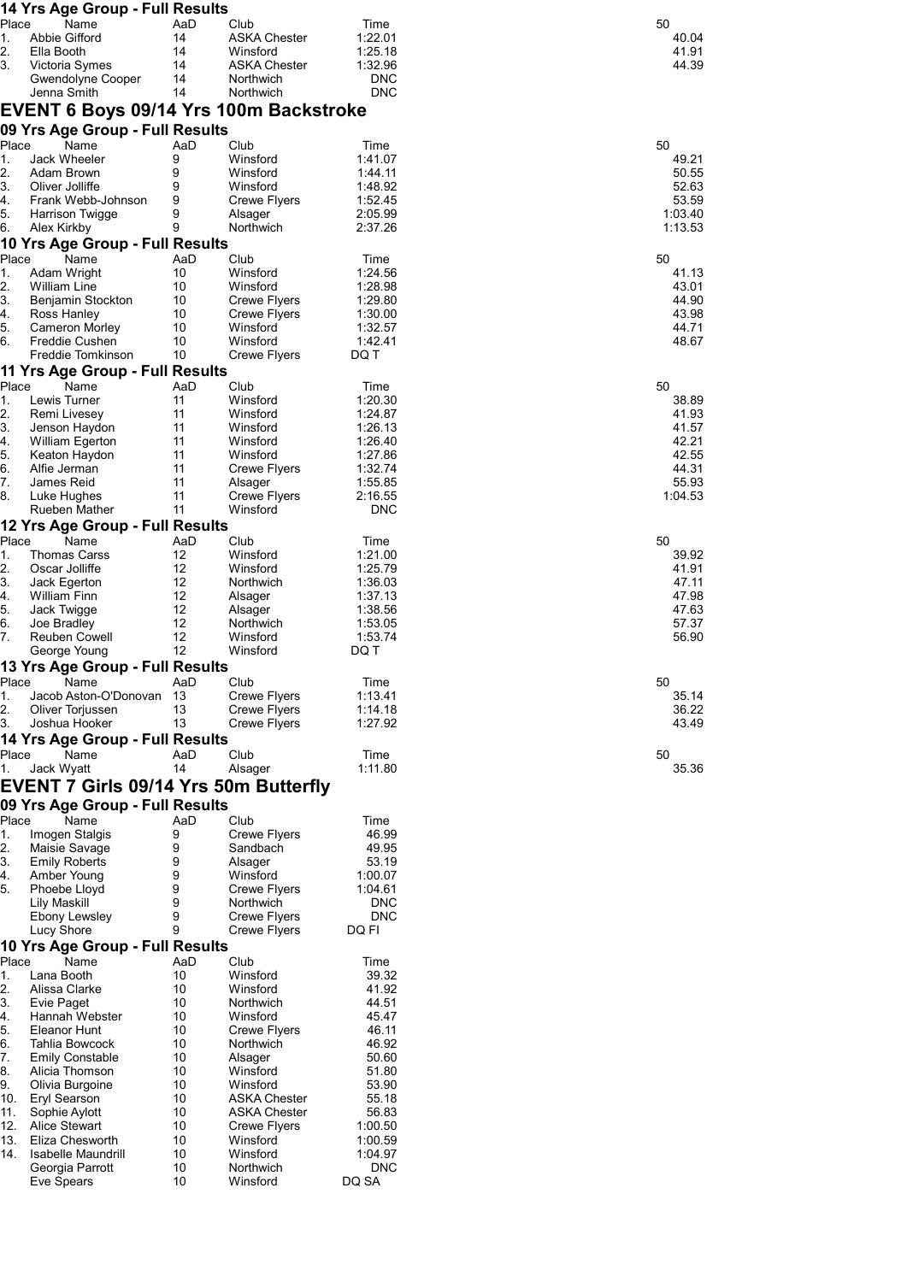|            | 14 Yrs Age Group - Full Results              |                         |                                            |                     |                  |
|------------|----------------------------------------------|-------------------------|--------------------------------------------|---------------------|------------------|
| Place      | Name                                         | AaD                     | Club                                       | Time                | 50               |
| 1.<br>2.   | Abbie Gifford<br>Ella Booth                  | 14<br>14                | <b>ASKA Chester</b><br>Winsford            | 1:22.01             | 40.04            |
| 3.         | Victoria Symes                               | 14                      | <b>ASKA Chester</b>                        | 1:25.18<br>1:32.96  | 41.91<br>44.39   |
|            | Gwendolyne Cooper                            | 14                      | Northwich                                  | DNC                 |                  |
|            | Jenna Smith                                  | 14                      | Northwich                                  | <b>DNC</b>          |                  |
|            | EVENT 6 Boys 09/14 Yrs 100m Backstroke       |                         |                                            |                     |                  |
| Place      | 09 Yrs Age Group - Full Results<br>Name      | AaD                     | Club                                       | Time                | 50               |
| 1.         | Jack Wheeler                                 | 9                       | Winsford                                   | 1:41.07             | 49.21            |
| 2.         | Adam Brown                                   | 9                       | Winsford                                   | 1:44.11             | 50.55            |
| 3.         | Oliver Jolliffe                              | 9                       | Winsford                                   | 1:48.92             | 52.63            |
| 4.<br>5.   | Frank Webb-Johnson<br>Harrison Twigge        | 9<br>9                  | <b>Crewe Flyers</b><br>Alsager             | 1:52.45<br>2:05.99  | 53.59<br>1:03.40 |
| 6.         | Alex Kirkby                                  | 9                       | Northwich                                  | 2:37.26             | 1:13.53          |
|            | 10 Yrs Age Group - Full Results              |                         |                                            |                     |                  |
| Place      | Name                                         | AaD<br>10               | Club<br>Winsford                           | Time                | 50<br>41.13      |
| 1.<br>2.   | Adam Wright<br>William Line                  | 10                      | Winsford                                   | 1:24.56<br>1:28.98  | 43.01            |
| 3.         | Benjamin Stockton                            | 10                      | <b>Crewe Flyers</b>                        | 1:29.80             | 44.90            |
| 4.         | Ross Hanley                                  | 10                      | <b>Crewe Flyers</b>                        | 1:30.00             | 43.98            |
| 5.<br>6.   | Cameron Morley<br>Freddie Cushen             | 10<br>10                | Winsford<br>Winsford                       | 1:32.57<br>1.42.41  | 44.71<br>48.67   |
|            | Freddie Tomkinson                            | 10                      | Crewe Flyers                               | DQ T                |                  |
|            | 11 Yrs Age Group - Full Results              |                         |                                            |                     |                  |
| Place      | Name                                         | AaD                     | Club                                       | Time                | 50               |
| 1.         | Lewis Turner                                 | 11                      | Winsford                                   | 1:20.30             | 38.89            |
| 2.<br>3.   | Remi Livesey<br>Jenson Haydon                | 11<br>11                | Winsford<br>Winsford                       | 1:24.87<br>1:26.13  | 41.93<br>41.57   |
| 4.         | William Egerton                              | 11                      | Winsford                                   | 1:26.40             | 42.21            |
| 5.         | Keaton Haydon                                | 11                      | Winsford                                   | 1:27.86             | 42.55            |
| 6.<br>7.   | Alfie Jerman<br>James Reid                   | 11<br>11                | <b>Crewe Flyers</b>                        | 1:32.74<br>1:55.85  | 44.31<br>55.93   |
| 8.         | Luke Hughes                                  | 11                      | Alsager<br><b>Crewe Flyers</b>             | 2:16.55             | 1:04.53          |
|            | Rueben Mather                                | 11                      | Winsford                                   | <b>DNC</b>          |                  |
|            | 12 Yrs Age Group - Full Results              |                         |                                            |                     |                  |
| Place      | Name                                         | AaD                     | Club                                       | Time                | 50               |
| 1.<br>2.   | Thomas Carss<br>Oscar Jolliffe               | 12<br>$12 \overline{ }$ | Winsford<br>Winsford                       | 1:21.00<br>1:25.79  | 39.92<br>41.91   |
| 3.         | Jack Egerton                                 | 12                      | Northwich                                  | 1:36.03             | 47.11            |
| 4.         | <b>William Finn</b>                          | 12                      | Alsager                                    | 1:37.13             | 47.98            |
| 5.         | Jack Twigge                                  | 12<br>12                | Alsager                                    | 1:38.56             | 47.63            |
| 6.<br>7.   | Joe Bradley<br>Reuben Cowell                 | 12                      | Northwich<br>Winsford                      | 1:53.05<br>1:53.74  | 57.37<br>56.90   |
|            | George Young                                 | 12                      | Winsford                                   | DQ T                |                  |
|            | 13 Yrs Age Group - Full Results              |                         |                                            |                     |                  |
| Place      | Name                                         | AaD                     | Club                                       | Time                | 50               |
| 1.<br>2.   | Jacob Aston-O'Donovan<br>Oliver Torjussen    | 13<br>13                | <b>Crewe Flyers</b><br><b>Crewe Flyers</b> | 1:13.41<br>1:14.18  | 35.14<br>36.22   |
| 3.         | Joshua Hooker                                | 13                      | <b>Crewe Flyers</b>                        | 1:27.92             | 43.49            |
|            | 14 Yrs Age Group - Full Results              |                         |                                            |                     |                  |
| Place      | Name<br>Jack Wyatt                           | AaD<br>14               | Club<br>Alsager                            | Time<br>1:11.80     | 50<br>35.36      |
| 1.         | <b>EVENT 7 Girls 09/14 Yrs 50m Butterfly</b> |                         |                                            |                     |                  |
|            | 09 Yrs Age Group - Full Results              |                         |                                            |                     |                  |
| Place      | Name                                         | AaD                     | Club                                       | Time                |                  |
| 1.<br>2.   | Imogen Stalgis                               | 9                       | <b>Crewe Flyers</b>                        | 46.99               |                  |
| 3.         | Maisie Savage<br><b>Emily Roberts</b>        | 9<br>9                  | Sandbach<br>Alsager                        | 49.95<br>53.19      |                  |
| 4.         | Amber Young                                  | 9                       | Winsford                                   | 1:00.07             |                  |
| 5.         | Phoebe Lloyd                                 | 9                       | Crewe Flyers                               | 1:04.61             |                  |
|            | Lily Maskill<br>Ebony Lewsley                | 9<br>9                  | Northwich<br>Crewe Flyers                  | DNC<br><b>DNC</b>   |                  |
|            | Lucy Shore                                   | 9                       | Crewe Flyers                               | DQ FI               |                  |
|            | 10 Yrs Age Group - Full Results              |                         |                                            |                     |                  |
| Place      | Name                                         | AaD                     | Club                                       | Time                |                  |
| 1.<br>2.   | Lana Booth<br>Alissa Clarke                  | 10<br>10                | Winsford<br>Winsford                       | 39.32<br>41.92      |                  |
| 3.         | Evie Paget                                   | 10                      | Northwich                                  | 44.51               |                  |
| 4.         | Hannah Webster                               | 10                      | Winsford                                   | 45.47               |                  |
| 5.         | Eleanor Hunt                                 | 10                      | <b>Crewe Flyers</b>                        | 46.11               |                  |
| 6.<br>7.   | Tahlia Bowcock<br><b>Emily Constable</b>     | 10<br>10                | Northwich<br>Alsager                       | 46.92<br>50.60      |                  |
| 8.         | Alicia Thomson                               | 10                      | Winsford                                   | 51.80               |                  |
| 9.         | Olivia Burgoine                              | 10                      | Winsford                                   | 53.90               |                  |
| 10.<br>11. | <b>Eryl Searson</b>                          | 10<br>10                | <b>ASKA Chester</b>                        | 55.18               |                  |
| 12.        | Sophie Aylott<br><b>Alice Stewart</b>        | 10                      | ASKA Chester<br><b>Crewe Flyers</b>        | 56.83<br>1:00.50    |                  |
| 13.        | Eliza Chesworth                              | 10                      | Winsford                                   | 1:00.59             |                  |
| 14.        | <b>Isabelle Maundrill</b>                    | 10                      | Winsford                                   | 1:04.97             |                  |
|            | Georgia Parrott<br>Eve Spears                | 10<br>10                | Northwich<br>Winsford                      | <b>DNC</b><br>DQ SA |                  |
|            |                                              |                         |                                            |                     |                  |

| 50 |                |        |
|----|----------------|--------|
|    | 40.04          |        |
|    | 41.91          |        |
|    | $\overline{ }$ | $\sim$ |

| 50<br>1 | 49.21<br>50.55<br>52.63<br>53.59<br>:03.40<br>1:13.53                  |
|---------|------------------------------------------------------------------------|
| 50      | 41.13<br>43.01<br>44.90<br>43.98<br>44.71<br>48.67                     |
| 50      | 38.89<br>41.93<br>41.57<br>42.21<br>42.55<br>44.31<br>55.93<br>1:04.53 |
| 50      | 39.92<br>41.91<br>47.11<br>47.98<br>47.63<br>57.37<br>56.90            |
| 50      | 35.14<br>43.49                                                         |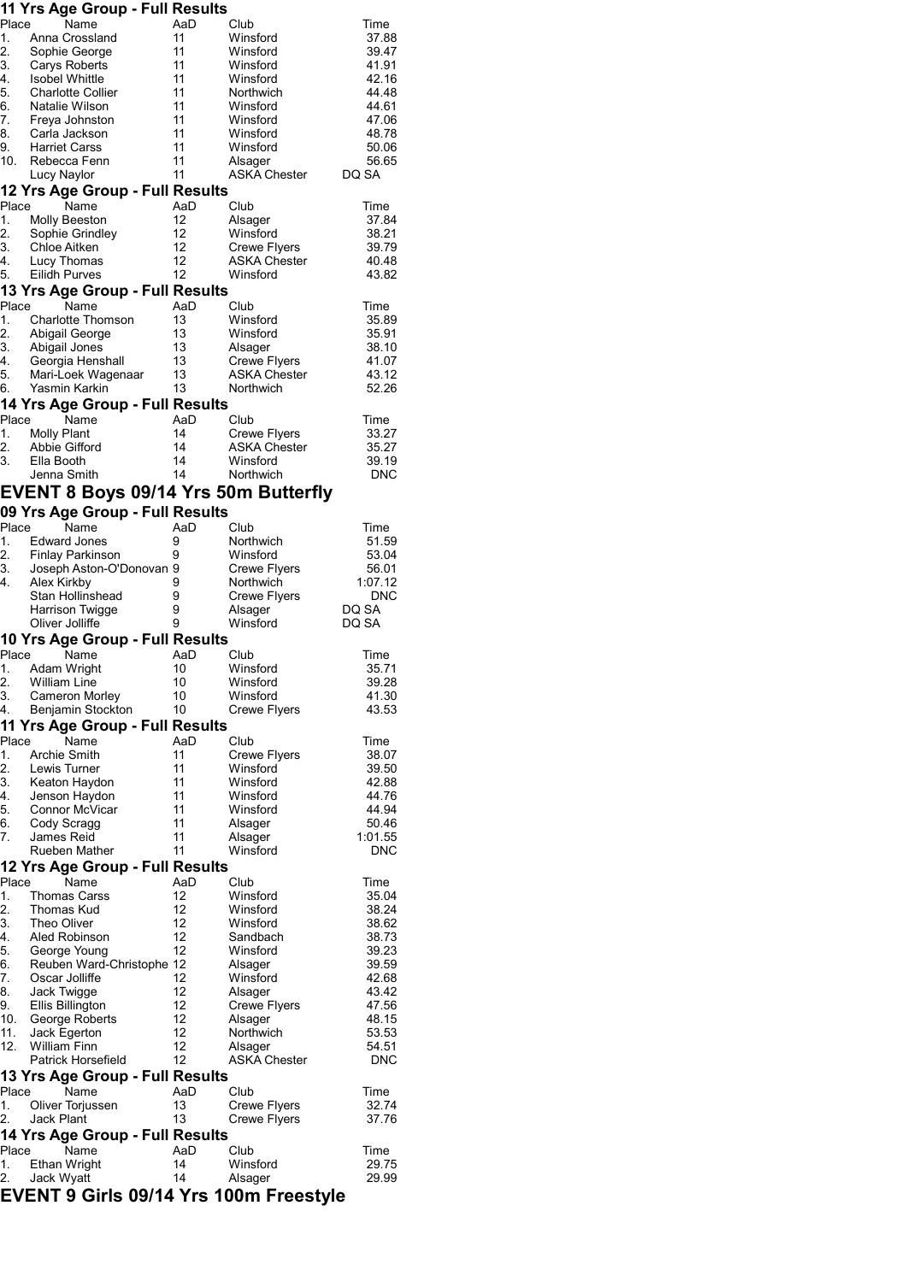| Place       | 11 Yrs Age Group - Full Results             |           |                                     |                     |
|-------------|---------------------------------------------|-----------|-------------------------------------|---------------------|
| 1.          | Name<br>Anna Crossland                      | AaD<br>11 | Club<br>Winsford                    | Time<br>37.88       |
| 2.          | Sophie George                               | 11        | Winsford                            | 39.47               |
| 3.          | Carys Roberts                               | 11        | Winsford                            | 41.91               |
| 4.          | <b>Isobel Whittle</b>                       | 11        | Winsford                            | 42.16               |
| 5.          | <b>Charlotte Collier</b>                    | 11        | Northwich                           | 44.48               |
| 6.          | Natalie Wilson                              | 11        | Winsford                            | 44.61               |
| 7.<br>8.    | Freya Johnston<br>Carla Jackson             | 11<br>11  | Winsford<br>Winsford                | 47.06<br>48.78      |
| 9.          | <b>Harriet Carss</b>                        | 11        | Winsford                            | 50.06               |
| 10.         | Rebecca Fenn                                | 11        | Alsager                             | 56.65               |
|             | Lucy Naylor                                 | 11        | <b>ASKA Chester</b>                 | DQ SA               |
|             | 12 Yrs Age Group - Full Results             |           |                                     |                     |
| Place       | Name                                        | AaD       | Club                                | Time                |
| 1.          | <b>Molly Beeston</b>                        | 12        | Alsager                             | 37.84               |
| 2.<br>3.    | Sophie Grindley                             | 12<br>12  | Winsford                            | 38.21<br>39.79      |
| 4.          | Chloe Aitken<br>Lucy Thomas                 | 12        | <b>Crewe Flyers</b><br>ASKA Chester | 40.48               |
| 5.          | Eilidh Purves                               | 12        | Winsford                            | 43.82               |
|             | 13 Yrs Age Group - Full Results             |           |                                     |                     |
| Place       | Name                                        | AaD       | Club                                | Time                |
| 1.          | <b>Charlotte Thomson</b>                    | 13        | Winsford                            | 35.89               |
| 2.<br>3.    | Abigail George                              | 13<br>13  | Winsford                            | 35.91               |
| 4.          | Abigail Jones<br>Georgia Henshall           | 13        | Alsager<br><b>Crewe Flyers</b>      | 38.10<br>41.07      |
| 5.          | Mari-Loek Wagenaar                          | 13        | <b>ASKA Chester</b>                 | 43.12               |
| 6.          | Yasmin Karkin                               | 13        | Northwich                           | 52.26               |
|             | 14 Yrs Age Group - Full Results             |           |                                     |                     |
| Place       | Name                                        | AaD       | Club                                | Time                |
| 1.<br>2.    | <b>Molly Plant</b><br>Abbie Gifford         | 14<br>14  | <b>Crewe Flyers</b><br>ASKA Chester | 33.27<br>35.27      |
| 3.          | Ella Booth                                  | 14        | Winsford                            | 39.19               |
|             | Jenna Smith                                 | 14        | Northwich                           | <b>DNC</b>          |
|             | <b>EVENT 8 Boys 09/14 Yrs 50m Butterfly</b> |           |                                     |                     |
|             | 09 Yrs Age Group - Full Results             |           |                                     |                     |
| Place       | Name                                        | AaD       | Club                                | Time                |
| 1.          | <b>Edward Jones</b>                         | 9         | Northwich                           | 51.59               |
| 2.          | <b>Finlay Parkinson</b>                     | 9         | Winsford                            | 53.04               |
| 3.<br>4.    | Joseph Aston-O'Donovan 9<br>Alex Kirkby     | 9         | Crewe Flyers<br>Northwich           | 56.01<br>1:07.12    |
|             | Stan Hollinshead                            | 9         | <b>Crewe Flyers</b>                 | DNC                 |
|             | Harrison Twigge                             | 9         | Alsager                             | DQ SA               |
|             | Oliver Jolliffe                             | 9         | Winsford                            | DQ SA               |
|             | 10 Yrs Age Group - Full Results             |           |                                     |                     |
| Place       | Name                                        | AaD       | Club                                | Time                |
| 1.<br>2.    | Adam Wright<br><b>William Line</b>          | 10<br>10  | Winsford<br>Winsford                | 35.71<br>39.28      |
| 3.          | Cameron Morley                              | 10        | Winsford                            | 41.30               |
| 4.          | Benjamin Stockton                           | 10        | <b>Crewe Flyers</b>                 | 43.53               |
|             | 11 Yrs Age Group - Full Results             |           |                                     |                     |
| Place       | Name                                        | AaD       | Club                                | Time                |
| 1.          | <b>Archie Smith</b>                         | 11        | Crewe Flyers                        | 38.07               |
| 2.<br>3.    | Lewis Turner                                | 11<br>11  | Winsford<br>Winsford                | 39.50<br>42.88      |
| 4.          | Keaton Haydon<br>Jenson Haydon              | 11        | Winsford                            | 44.76               |
| 5.          | Connor McVicar                              | 11        | Winsford                            | 44.94               |
| 6.          | Cody Scragg                                 | 11        | Alsager                             | 50.46               |
| 7.          | James Reid                                  | 11        | Alsager                             | 1:01.55             |
|             | Rueben Mather                               | 11        | Winsford                            | DNC                 |
| Place       | 12 Yrs Age Group - Full Results<br>Name     | AaD       | Club                                | Time                |
| 1.          | <b>Thomas Carss</b>                         | 12        | Winsford                            | 35.04               |
| 2.          | Thomas Kud                                  | 12        | Winsford                            | 38.24               |
| 3.          | Theo Oliver                                 | 12        | Winsford                            | 38.62               |
| 4.          | Aled Robinson                               | 12        | Sandbach                            | 38.73               |
| 5.<br>6.    | George Young<br>Reuben Ward-Christophe 12   | 12        | Winsford                            | 39.23               |
| 7.          | Oscar Jolliffe                              | 12        | Alsager<br>Winsford                 | 39.59<br>42.68      |
| 8.          | Jack Twigge                                 | 12        | Alsager                             | 43.42               |
| 9.          | Ellis Billington                            | 12        | Crewe Flyers                        | 47.56               |
| 10.         | George Roberts                              | 12        | Alsager                             | 48.15               |
| 11.         | Jack Egerton                                | 12        | Northwich                           | 53.53               |
| 12.         | <b>William Finn</b><br>Patrick Horsefield   | 12<br>12  | Alsager<br>ASKA Chester             | 54.51<br><b>DNC</b> |
|             | 13 Yrs Age Group - Full Results             |           |                                     |                     |
| Place       | Name                                        | AaD       | Club                                | Time                |
| 1.          | Oliver Torjussen                            | 13        | Crewe Flyers                        | 32.74               |
| 2.          | Jack Plant                                  | 13        | Crewe Flyers                        | 37.76               |
|             | 14 Yrs Age Group - Full Results             |           |                                     |                     |
| Place<br>1. | Name<br>Ethan Wright                        | AaD<br>14 | Club<br>Winsford                    | Time<br>29.75       |
| 2.          | Jack Wyatt                                  | 14        | Alsager                             | 29.99               |
|             | EVENT 9 Girls 09/14 Yrs 100m Freestyle      |           |                                     |                     |
|             |                                             |           |                                     |                     |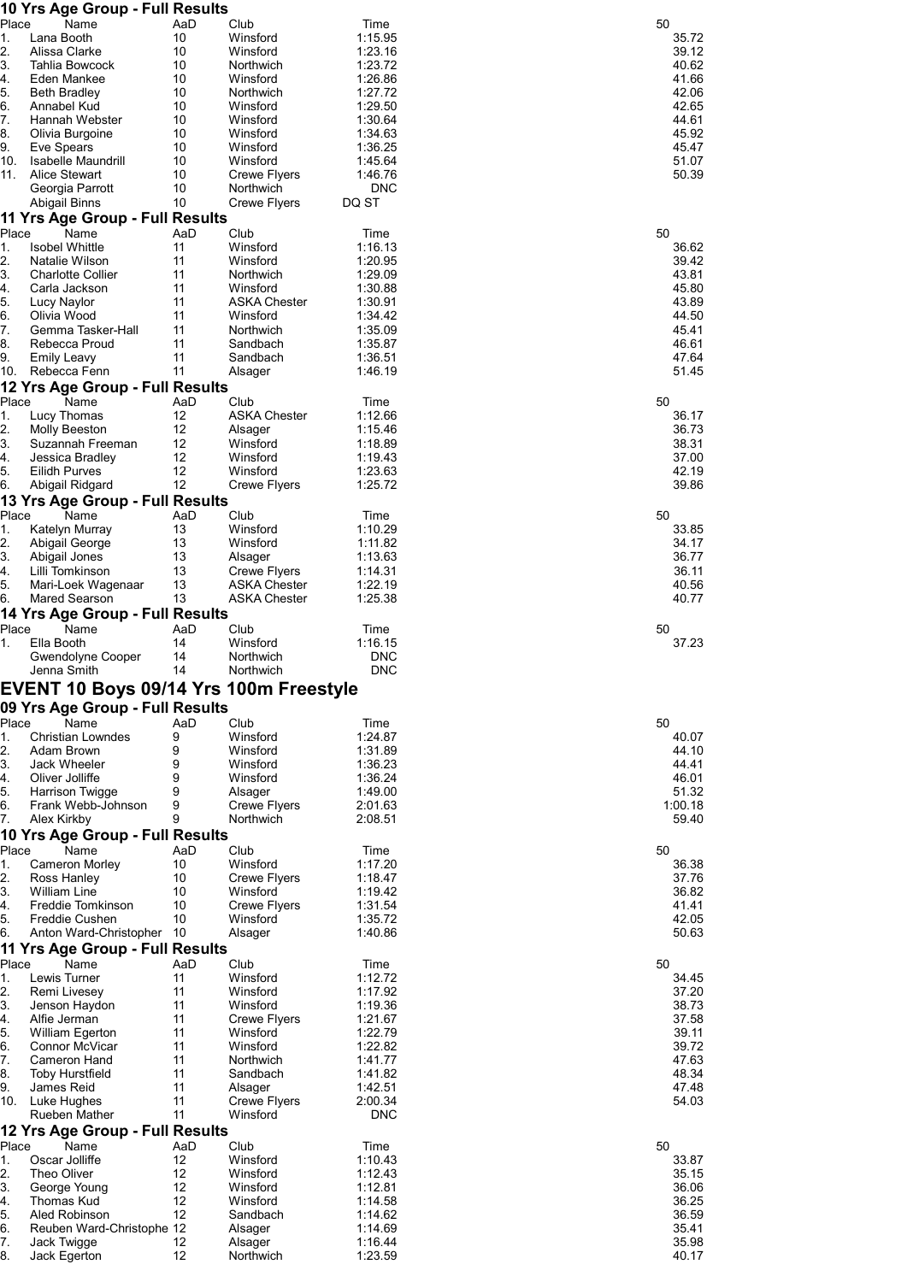| 10 Yrs Age Group - Full Results                          |           |                                            |                    |                |
|----------------------------------------------------------|-----------|--------------------------------------------|--------------------|----------------|
| Place<br>Name<br>Lana Booth<br>1.                        | AaD<br>10 | Club<br>Winsford                           | Time<br>1:15.95    | 50<br>35.72    |
| 2.<br>Alissa Clarke                                      | 10        | Winsford                                   | 1:23.16            | 39.12          |
| 3.<br>Tahlia Bowcock                                     | 10        | Northwich                                  | 1:23.72            | 40.62          |
| 4.<br>Eden Mankee                                        | 10        | Winsford                                   | 1:26.86            | 41.66          |
| 5.<br><b>Beth Bradley</b>                                | 10        | Northwich                                  | 1:27.72            | 42.06          |
| 6.<br>Annabel Kud                                        | 10        | Winsford                                   | 1:29.50            | 42.65          |
| 7.<br>Hannah Webster<br>8.<br>Olivia Burgoine            | 10<br>10  | Winsford<br>Winsford                       | 1:30.64<br>1:34.63 | 44.61<br>45.92 |
| 9.<br>Eve Spears                                         | 10        | Winsford                                   | 1:36.25            | 45.47          |
| 10.<br><b>Isabelle Maundrill</b>                         | 10        | Winsford                                   | 1:45.64            | 51.07          |
| 11.<br><b>Alice Stewart</b>                              | 10        | <b>Crewe Flyers</b>                        | 1:46.76            | 50.39          |
| Georgia Parrott                                          | 10        | Northwich                                  | <b>DNC</b>         |                |
| <b>Abigail Binns</b><br>11 Yrs Age Group - Full Results  | 10        | <b>Crewe Flyers</b>                        | DQ ST              |                |
| Place<br>Name                                            | AaD       | Club                                       | Time               | 50             |
| 1.<br><b>Isobel Whittle</b>                              | 11        | Winsford                                   | 1:16.13            | 36.62          |
| 2.<br>Natalie Wilson                                     | 11        | Winsford                                   | 1:20.95            | 39.42          |
| 3.<br><b>Charlotte Collier</b><br>4.<br>Carla Jackson    | 11<br>11  | Northwich<br>Winsford                      | 1:29.09<br>1:30.88 | 43.81<br>45.80 |
| 5.<br>Lucy Naylor                                        | 11        | <b>ASKA Chester</b>                        | 1:30.91            | 43.89          |
| 6.<br>Olivia Wood                                        | 11        | Winsford                                   | 1:34.42            | 44.50          |
| 7.<br>Gemma Tasker-Hall                                  | 11        | Northwich                                  | 1:35.09            | 45.41          |
| 8.<br>Rebecca Proud                                      | 11        | Sandbach                                   | 1:35.87            | 46.61          |
| 9.<br><b>Emily Leavy</b>                                 | 11<br>11  | Sandbach                                   | 1:36.51            | 47.64          |
| Rebecca Fenn<br>10.<br>12 Yrs Age Group - Full Results   |           | Alsager                                    | 1:46.19            | 51.45          |
| Place<br>Name                                            | AaD       | Club                                       | Time               | 50             |
| 1.<br>Lucy Thomas                                        | 12        | <b>ASKA Chester</b>                        | 1:12.66            | 36.17          |
| 2.<br>Molly Beeston                                      | 12        | Alsager                                    | 1:15.46            | 36.73          |
| 3.<br>Suzannah Freeman                                   | 12        | Winsford                                   | 1:18.89            | 38.31          |
| 4.<br>Jessica Bradley                                    | 12        | Winsford                                   | 1:19.43            | 37.00          |
| 5.<br><b>Eilidh Purves</b>                               | 12<br>12  | Winsford                                   | 1:23.63            | 42.19          |
| 6.<br>Abigail Ridgard<br>13 Yrs Age Group - Full Results |           | <b>Crewe Flyers</b>                        | 1:25.72            | 39.86          |
| Place<br>Name                                            | AaD       | Club                                       | Time               | 50             |
| 1.<br>Katelyn Murray                                     | 13        | Winsford                                   | 1:10.29            | 33.85          |
| 2.<br>Abigail George                                     | 13        | Winsford                                   | 1:11.82            | 34.17          |
| 3.<br>Abigail Jones                                      | 13        | Alsager                                    | 1:13.63            | 36.77          |
| 4.<br>Lilli Tomkinson                                    | 13        | <b>Crewe Flyers</b>                        | 1:14.31            | 36.11          |
| 5.<br>Mari-Loek Wagenaar<br>Mared Searson<br>6.          | 13<br>13  | <b>ASKA Chester</b><br><b>ASKA Chester</b> | 1:22.19<br>1:25.38 | 40.56<br>40.77 |
| 14 Yrs Age Group - Full Results                          |           |                                            |                    |                |
| Place<br>Name                                            | AaD       | Club                                       | Time               | 50             |
| Ella Booth<br>1.                                         | 14        | Winsford                                   | 1:16.15            | 37.23          |
| Gwendolyne Cooper                                        | 14        | Northwich                                  | <b>DNC</b>         |                |
| Jenna Smith                                              | 14        | Northwich                                  | <b>DNC</b>         |                |
| EVENT 10 Boys 09/14 Yrs 100m Freestyle                   |           |                                            |                    |                |
| 09 Yrs Age Group - Full Results                          |           |                                            |                    |                |
| Place<br>Name<br><b>Christian Lowndes</b><br>1.          | AaD<br>9  | Club<br>Winsford                           | Time<br>1:24.87    | 50<br>40.07    |
| 2.<br>Adam Brown                                         | 9         | Winsford                                   | 1:31.89            | 44.10          |
| 3.<br>Jack Wheeler                                       | 9         | Winsford                                   | 1:36.23            | 44.41          |
| 4.<br>Oliver Jolliffe                                    | 9         | Winsford                                   | 1:36.24            | 46.01          |
| 5.<br><b>Harrison Twigge</b>                             | 9         | Alsager                                    | 1:49.00            | 51.32          |
| 6.<br>Frank Webb-Johnson<br>7.                           | 9         | <b>Crewe Flyers</b>                        | 2:01.63            | 1:00.18        |
| Alex Kirkby<br>10 Yrs Age Group - Full Results           | 9         | Northwich                                  | 2:08.51            | 59.40          |
| Place<br>Name                                            | AaD       | Club                                       | Time               | 50             |
| <b>Cameron Morley</b><br>1.                              | 10        | Winsford                                   | 1:17.20            | 36.38          |
| 2.<br>Ross Hanley                                        | 10        | <b>Crewe Flyers</b>                        | 1:18.47            | 37.76          |
| 3.<br><b>William Line</b>                                | 10        | Winsford                                   | 1:19.42            | 36.82          |
| 4.<br>Freddie Tomkinson                                  | 10        | <b>Crewe Flyers</b>                        | 1:31.54            | 41.41          |
| 5.<br>Freddie Cushen<br>6.<br>Anton Ward-Christopher     | 10<br>10  | Winsford<br>Alsager                        | 1:35.72<br>1:40.86 | 42.05<br>50.63 |
| 11 Yrs Age Group - Full Results                          |           |                                            |                    |                |
| Place<br>Name                                            | AaD       | Club                                       | Time               | 50             |
| 1.<br>Lewis Turner                                       | 11        | Winsford                                   | 1:12.72            | 34.45          |
| 2.<br>Remi Livesey                                       | 11        | Winsford                                   | 1:17.92            | 37.20          |
| 3.<br>Jenson Haydon                                      | 11        | Winsford                                   | 1:19.36            | 38.73          |
| 4.<br>Alfie Jerman                                       | 11<br>11  | <b>Crewe Flyers</b>                        | 1:21.67<br>1:22.79 | 37.58          |
| 5.<br>William Egerton<br>6.<br>Connor McVicar            | 11        | Winsford<br>Winsford                       | 1:22.82            | 39.11<br>39.72 |
| 7.<br>Cameron Hand                                       | 11        | Northwich                                  | 1:41.77            | 47.63          |
| 8.<br><b>Toby Hurstfield</b>                             | 11        | Sandbach                                   | 1:41.82            | 48.34          |
| 9.<br>James Reid                                         | 11        | Alsager                                    | 1:42.51            | 47.48          |
| 10.<br>Luke Hughes                                       | 11        | <b>Crewe Flyers</b>                        | 2:00.34            | 54.03          |
| Rueben Mather                                            | 11        | Winsford                                   | <b>DNC</b>         |                |
| 12 Yrs Age Group - Full Results<br>Place<br>Name         | AaD       | Club                                       | Time               | 50             |
| Oscar Jolliffe<br>1.                                     | 12        | Winsford                                   | 1:10.43            | 33.87          |
| 2.<br>Theo Oliver                                        | 12        | Winsford                                   | 1:12.43            | 35.15          |
| 3.<br>George Young                                       | 12        | Winsford                                   | 1:12.81            | 36.06          |
| 4.<br>Thomas Kud                                         | 12        | Winsford                                   | 1:14.58            | 36.25          |
| 5.<br>Aled Robinson                                      | 12        | Sandbach                                   | 1:14.62            | 36.59          |
| 6.<br>Reuben Ward-Christophe 12                          |           | Alsager<br>Alsager                         | 1:14.69<br>1:16.44 | 35.41<br>35.98 |
|                                                          |           |                                            |                    |                |
| 7.<br>Jack Twigge<br>8.<br>Jack Egerton                  | 12<br>12  | Northwich                                  | 1:23.59            | 40.17          |

| 50                                                                   | 50                                                          | 50                                        | 50                                 | 50    | 50                               | 50                                        | 50                                                          | 50                                                          |
|----------------------------------------------------------------------|-------------------------------------------------------------|-------------------------------------------|------------------------------------|-------|----------------------------------|-------------------------------------------|-------------------------------------------------------------|-------------------------------------------------------------|
|                                                                      | 47.63<br>48.34<br>47.48                                     | 42.05                                     | 40.07<br>44.41<br>46.01<br>1:00.18 |       | 40.56<br>40.77                   | 42.19                                     | 43.81<br>45.80<br>43.89<br>44.50<br>45.41<br>46.61<br>47.64 | 40.62<br>41.66<br>42.06<br>42.65<br>44.61<br>45.92<br>45.47 |
| 33.87<br>35.15<br>36.06<br>36.25<br>36.59<br>35.41<br>35.98<br>10.17 | 34.45<br>37.20<br>38.73<br>37.58<br>39.11<br>39.72<br>54.03 | 36.38<br>37.76<br>36.82<br>41.41<br>50.63 | 44.10<br>51.32<br>59.40            | 37.23 | 33.85<br>34.17<br>36.77<br>36.11 | 36.17<br>36.73<br>38.31<br>37.00<br>39.86 | 36.62<br>39.42<br>51.45                                     | 35.72<br>39.12<br>51.07<br>50.39                            |
|                                                                      |                                                             |                                           |                                    |       |                                  |                                           |                                                             |                                                             |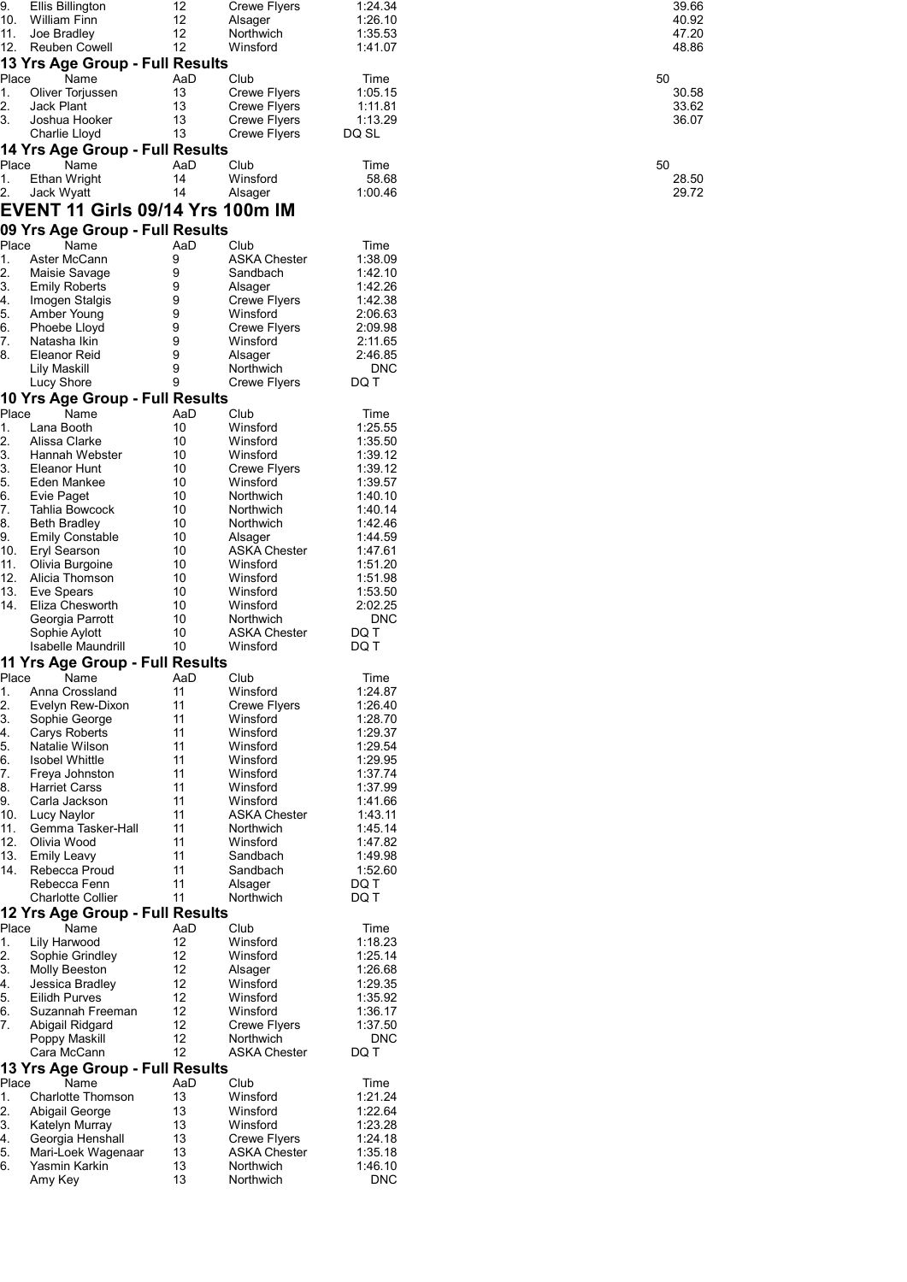| 9.       | <b>Ellis Billington</b>                 | 12       | Crewe Flyers           | 1:24.34               | 39.66 |
|----------|-----------------------------------------|----------|------------------------|-----------------------|-------|
| 10.      | <b>William Finn</b>                     | 12       | Alsager                | 1:26.10               | 40.92 |
| 11.      | Joe Bradley                             | 12       | Northwich              | 1:35.53               | 47.20 |
| 12.      | <b>Reuben Cowell</b>                    | 12       | Winsford               | 1:41.07               | 48.86 |
|          |                                         |          |                        |                       |       |
|          | 13 Yrs Age Group - Full Results         |          |                        |                       |       |
| Place    | Name                                    | AaD      | Club                   | Time                  | 50    |
| 1.       | Oliver Torjussen                        | 13       | <b>Crewe Flyers</b>    | 1:05.15               | 30.58 |
| 2.       | Jack Plant                              | 13       | <b>Crewe Flyers</b>    | 1:11.81               | 33.62 |
| 3.       | Joshua Hooker                           | 13       | <b>Crewe Flyers</b>    | 1:13.29               | 36.07 |
|          |                                         | 13       |                        |                       |       |
|          | Charlie Lloyd                           |          | <b>Crewe Flyers</b>    | DQ SL                 |       |
|          | 14 Yrs Age Group - Full Results         |          |                        |                       |       |
| Place    | Name                                    | AaD      | Club                   | Time                  | 50    |
| 1.       | Ethan Wright                            | 14       | Winsford               | 58.68                 | 28.50 |
|          |                                         | 14       |                        | 1:00.46               | 29.72 |
| 2.       | Jack Wyatt                              |          | Alsager                |                       |       |
|          | <b>EVENT 11 Girls 09/14 Yrs 100m IM</b> |          |                        |                       |       |
|          |                                         |          |                        |                       |       |
|          | 09 Yrs Age Group - Full Results         |          |                        |                       |       |
| Place    | Name                                    | AaD      | Club                   | Time                  |       |
| 1.       | Aster McCann                            | 9        | <b>ASKA Chester</b>    | 1:38.09               |       |
| 2.       | Maisie Savage                           | 9        | Sandbach               | 1:42.10               |       |
|          |                                         | 9        |                        |                       |       |
| 3.       | <b>Emily Roberts</b>                    |          | Alsager                | 1:42.26               |       |
| 4.       | Imogen Stalgis                          | 9        | <b>Crewe Flyers</b>    | 1:42.38               |       |
| 5.       | Amber Young                             | 9        | Winsford               | 2:06.63               |       |
| 6.       | Phoebe Lloyd                            | 9        | <b>Crewe Flyers</b>    | 2:09.98               |       |
| 7.       | Natasha Ikin                            | 9        | Winsford               | 2:11.65               |       |
| 8.       | Eleanor Reid                            | 9        | Alsager                | 2:46.85               |       |
|          |                                         | 9        |                        |                       |       |
|          | <b>Lily Maskill</b>                     |          | Northwich              | <b>DNC</b>            |       |
|          | Lucy Shore                              | 9        | Crewe Flyers           | DQ T                  |       |
|          | 10 Yrs Age Group - Full Results         |          |                        |                       |       |
| Place    | Name                                    | AaD      | Club                   | Time                  |       |
|          |                                         |          |                        |                       |       |
| 1.       | Lana Booth                              | 10       | Winsford               | 1:25.55               |       |
| 2.       | Alissa Clarke                           | 10       | Winsford               | 1:35.50               |       |
| 3.       | Hannah Webster                          | 10       | Winsford               | 1:39.12               |       |
| 3.       | Eleanor Hunt                            | 10       | Crewe Flyers           | 1:39.12               |       |
| 5.       | Eden Mankee                             | 10       | Winsford               | 1:39.57               |       |
| 6.       | Evie Paget                              | 10       | Northwich              | 1:40.10               |       |
| 7.       | Tahlia Bowcock                          | 10       | Northwich              | 1:40.14               |       |
|          |                                         |          |                        |                       |       |
| 8.       | <b>Beth Bradley</b>                     | 10       | Northwich              | 1:42.46               |       |
| 9.       | <b>Emily Constable</b>                  | 10       | Alsager                | 1:44.59               |       |
| 10.      | Eryl Searson                            | 10       | <b>ASKA Chester</b>    | 1:47.61               |       |
| 11.      | Olivia Burgoine                         | 10       | Winsford               | 1:51.20               |       |
| 12.      | Alicia Thomson                          | 10       | Winsford               | 1:51.98               |       |
| 13.      | Eve Spears                              | 10       | Winsford               | 1:53.50               |       |
|          |                                         |          |                        |                       |       |
| 14.      | Eliza Chesworth                         | 10       | Winsford               | 2:02.25               |       |
|          | Georgia Parrott                         | 10       | Northwich              | <b>DNC</b>            |       |
|          | Sophie Aylott                           | 10       | <b>ASKA Chester</b>    | DQ T                  |       |
|          | Isabelle Maundrill                      | 10       | Winsford               | DQ T                  |       |
|          | 11 Yrs Age Group - Full Results         |          |                        |                       |       |
|          |                                         |          |                        |                       |       |
| Place    | Name                                    | AaD      | Club                   | Time                  |       |
| 1.       | Anna Crossland                          | 11       | Winsford               | 1:24.87               |       |
| 2.       | Evelyn Rew-Dixon                        | 11       | <b>Crewe Flyers</b>    | 1:26.40               |       |
| 3.       | Sophie George                           | 11       | Winsford               | 1:28.70               |       |
| 4.       | Carys Roberts                           | 11       | Winsford               | 1:29.37               |       |
| 5.       | Natalie Wilson                          | 11       | Winsford               | 1:29.54               |       |
|          |                                         |          |                        |                       |       |
| 6.       | <b>Isobel Whittle</b>                   | 11       | Winsford               | 1:29.95               |       |
| 7.       | Freya Johnston                          | 11       | Winsford               | 1:37.74               |       |
| 8.       | <b>Harriet Carss</b>                    | 11       | Winsford               | 1:37.99               |       |
| 9.       | Carla Jackson                           | 11       | Winsford               | 1:41.66               |       |
| 10.      | Lucy Naylor                             | 11       | <b>ASKA Chester</b>    | 1:43.11               |       |
| 11.      | Gemma Tasker-Hall                       | 11       | Northwich              | 1:45.14               |       |
| 12.      | Olivia Wood                             | 11       | Winsford               | 1:47.82               |       |
|          |                                         |          |                        |                       |       |
| 13.      | <b>Emily Leavy</b>                      | 11       | Sandbach               | 1:49.98               |       |
| 14.      | Rebecca Proud                           | 11       | Sandbach               | 1:52.60               |       |
|          | Rebecca Fenn                            | 11       | Alsager                | DQ T                  |       |
|          | <b>Charlotte Collier</b>                | 11       | Northwich              | DQ T                  |       |
|          | 12 Yrs Age Group - Full Results         |          |                        |                       |       |
|          |                                         |          |                        |                       |       |
| Place    | Name                                    | AaD      | Club                   | Time                  |       |
| 1.       | Lily Harwood                            | 12       | Winsford               | 1:18.23               |       |
| 2.       | Sophie Grindley                         | 12       | Winsford               | 1:25.14               |       |
| 3.       | Molly Beeston                           | 12       | Alsager                | 1:26.68               |       |
| 4.       | Jessica Bradley                         | 12       | Winsford               | 1:29.35               |       |
| 5.       | <b>Eilidh Purves</b>                    | 12       | Winsford               | 1:35.92               |       |
|          |                                         |          |                        |                       |       |
| 6.       | Suzannah Freeman                        | 12       | Winsford               | 1:36.17               |       |
| 7.       | Abigail Ridgard                         | 12       | <b>Crewe Flyers</b>    | 1:37.50               |       |
|          | Poppy Maskill                           | 12       | Northwich              | <b>DNC</b>            |       |
|          | Cara McCann                             | 12       | <b>ASKA Chester</b>    | DQ T                  |       |
|          |                                         |          |                        |                       |       |
|          | 13 Yrs Age Group - Full Results         |          |                        |                       |       |
| Place    | Name                                    | AaD      | Club                   | Time                  |       |
|          | <b>Charlotte Thomson</b>                | 13       | Winsford               | 1:21.24               |       |
| 1.       |                                         |          | Winsford               | 1:22.64               |       |
|          | Abigail George                          | 13       |                        |                       |       |
|          |                                         |          |                        |                       |       |
| 2.<br>3. | Katelyn Murray                          | 13       | Winsford               | 1:23.28               |       |
| 4.       | Georgia Henshall                        | 13       | <b>Crewe Flyers</b>    | 1:24.18               |       |
| 5.       | Mari-Loek Wagenaar                      | 13       | <b>ASKA Chester</b>    | 1:35.18               |       |
| 6.       | Yasmin Karkin<br>Amy Key                | 13<br>13 | Northwich<br>Northwich | 1:46.10<br><b>DNC</b> |       |